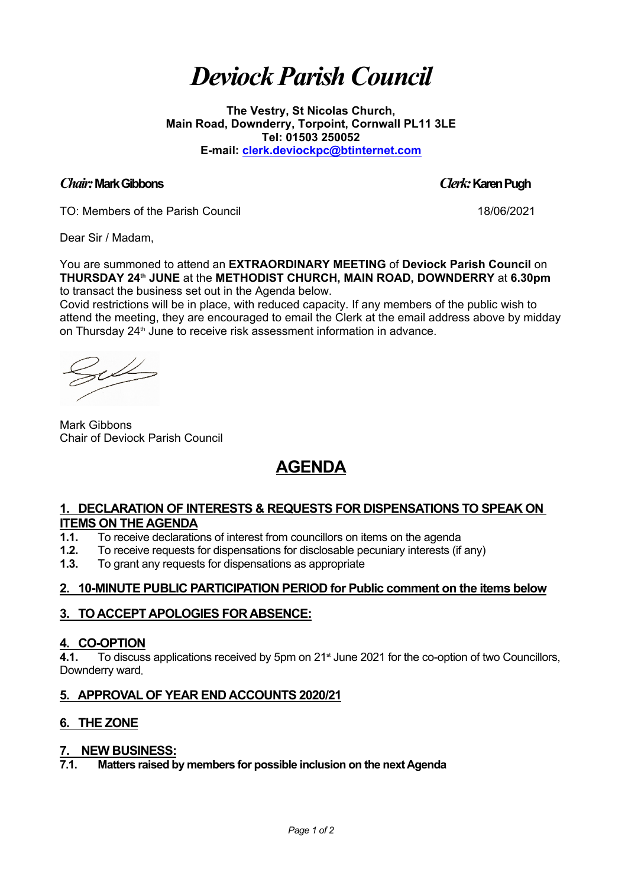# *Deviock ParishCouncil*

**The Vestry, St Nicolas Church, Main Road, Downderry, Torpoint, Cornwall PL11 3LE Tel: 01503 250052 E-mail: [clerk.deviockpc@btinternet.com](mailto:clerk.deviockpc@btinternet.com)**

#### *Chair:***MarkGibbons** *Clerk:***KarenPugh**

TO: Members of the Parish Council 18/06/2021

Dear Sir / Madam,

You are summoned to attend an **EXTRAORDINARY MEETING** of **Deviock Parish Council** on **THURSDAY 24th JUNE** at the **METHODIST CHURCH, MAIN ROAD, DOWNDERRY** at **6.30pm**  to transact the business set out in the Agenda below.

Covid restrictions will be in place, with reduced capacity. If any members of the public wish to attend the meeting, they are encouraged to email the Clerk at the email address above by midday on Thursday 24<sup>th</sup> June to receive risk assessment information in advance.

Mark Gibbons Chair of Deviock Parish Council

## **AGENDA**

### **1. DECLARATION OF INTERESTS & REQUESTS FOR DISPENSATIONS TO SPEAK ON ITEMS ON THE AGENDA**

- **1.1.** To receive declarations of interest from councillors on items on the agenda
- **1.2.** To receive requests for dispensations for disclosable pecuniary interests (if any)

**1.3.** To grant any requests for dispensations as appropriate

### **2. 10-MINUTE PUBLIC PARTICIPATION PERIOD for Public comment on the items below**

### **3. TO ACCEPT APOLOGIES FOR ABSENCE:**

### **4. CO-OPTION**

4.1. To discuss applications received by 5pm on 21<sup>st</sup> June 2021 for the co-option of two Councillors, Downderry ward.

### **5. APPROVAL OF YEAR END ACCOUNTS 2020/21**

### **6. THE ZONE**

### **7. NEW BUSINESS:**

**7.1. Matters raised by members for possible inclusion on the next Agenda**